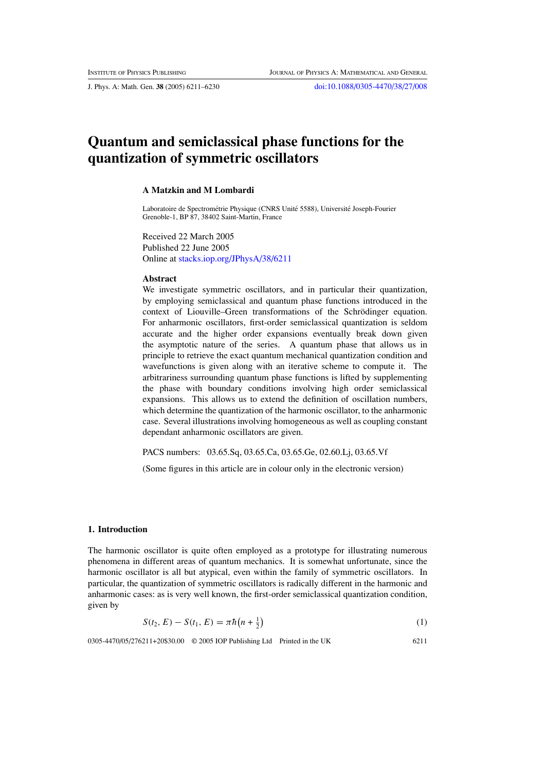# <span id="page-0-0"></span>**Quantum and semiclassical phase functions for the quantization of symmetric oscillators**

#### **A Matzkin and M Lombardi**

Laboratoire de Spectrométrie Physique (CNRS Unité 5588), Université Joseph-Fourier Grenoble-1, BP 87, 38402 Saint-Martin, France

Received 22 March 2005 Published 22 June 2005 Online at [stacks.iop.org/JPhysA/38/6211](http://stacks.iop.org/ja/38/6211)

#### **Abstract**

We investigate symmetric oscillators, and in particular their quantization, by employing semiclassical and quantum phase functions introduced in the context of Liouville–Green transformations of the Schrödinger equation. For anharmonic oscillators, first-order semiclassical quantization is seldom accurate and the higher order expansions eventually break down given the asymptotic nature of the series. A quantum phase that allows us in principle to retrieve the exact quantum mechanical quantization condition and wavefunctions is given along with an iterative scheme to compute it. The arbitrariness surrounding quantum phase functions is lifted by supplementing the phase with boundary conditions involving high order semiclassical expansions. This allows us to extend the definition of oscillation numbers, which determine the quantization of the harmonic oscillator, to the anharmonic case. Several illustrations involving homogeneous as well as coupling constant dependant anharmonic oscillators are given.

PACS numbers: 03.65.Sq, 03.65.Ca, 03.65.Ge, 02.60.Lj, 03.65.Vf

(Some figures in this article are in colour only in the electronic version)

### **1. Introduction**

The harmonic oscillator is quite often employed as a prototype for illustrating numerous phenomena in different areas of quantum mechanics. It is somewhat unfortunate, since the harmonic oscillator is all but atypical, even within the family of symmetric oscillators. In particular, the quantization of symmetric oscillators is radically different in the harmonic and anharmonic cases: as is very well known, the first-order semiclassical quantization condition, given by

$$
S(t_2, E) - S(t_1, E) = \pi \hbar (n + \frac{1}{2})
$$
\n(1)

0305-4470/05/276211+20\$30.00 © 2005 IOP Publishing Ltd Printed in the UK 6211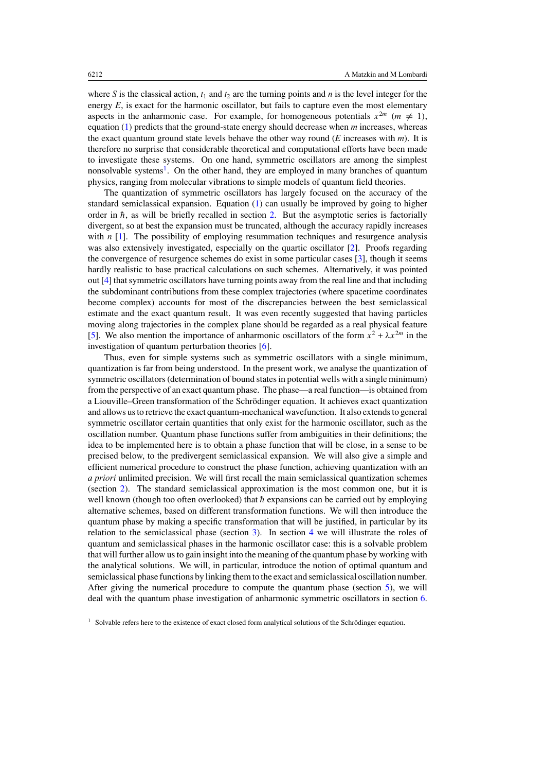where *S* is the classical action,  $t_1$  and  $t_2$  are the turning points and *n* is the level integer for the energy *E*, is exact for the harmonic oscillator, but fails to capture even the most elementary aspects in the anharmonic case. For example, for homogeneous potentials  $x^{2m}$  ( $m \neq 1$ ), equation [\(1\)](#page-0-0) predicts that the ground-state energy should decrease when *m* increases, whereas the exact quantum ground state levels behave the other way round (*E* increases with *m*). It is therefore no surprise that considerable theoretical and computational efforts have been made to investigate these systems. On one hand, symmetric oscillators are among the simplest nonsolvable systems<sup>1</sup>. On the other hand, they are employed in many branches of quantum physics, ranging from molecular vibrations to simple models of quantum field theories.

The quantization of symmetric oscillators has largely focused on the accuracy of the standard semiclassical expansion. Equation [\(1\)](#page-0-0) can usually be improved by going to higher order in  $\hbar$ , as will be briefly recalled in section [2.](#page-2-0) But the asymptotic series is factorially divergent, so at best the expansion must be truncated, although the accuracy rapidly increases with *n* [\[1\]](#page-19-0). The possibility of employing resummation techniques and resurgence analysis was also extensively investigated, especially on the quartic oscillator [\[2](#page-19-0)]. Proofs regarding the convergence of resurgence schemes do exist in some particular cases [\[3\]](#page-19-0), though it seems hardly realistic to base practical calculations on such schemes. Alternatively, it was pointed out [\[4\]](#page-19-0) that symmetric oscillators have turning points away from the real line and that including the subdominant contributions from these complex trajectories (where spacetime coordinates become complex) accounts for most of the discrepancies between the best semiclassical estimate and the exact quantum result. It was even recently suggested that having particles moving along trajectories in the complex plane should be regarded as a real physical feature [\[5](#page-19-0)]. We also mention the importance of anharmonic oscillators of the form  $x^2 + \lambda x^{2m}$  in the investigation of quantum perturbation theories [\[6\]](#page-19-0).

Thus, even for simple systems such as symmetric oscillators with a single minimum, quantization is far from being understood. In the present work, we analyse the quantization of symmetric oscillators (determination of bound states in potential wells with a single minimum) from the perspective of an exact quantum phase. The phase—a real function—is obtained from a Liouville–Green transformation of the Schrodinger equation. It achieves exact quantization ¨ and allows us to retrieve the exact quantum-mechanical wavefunction. It also extends to general symmetric oscillator certain quantities that only exist for the harmonic oscillator, such as the oscillation number. Quantum phase functions suffer from ambiguities in their definitions; the idea to be implemented here is to obtain a phase function that will be close, in a sense to be precised below, to the predivergent semiclassical expansion. We will also give a simple and efficient numerical procedure to construct the phase function, achieving quantization with an *a priori* unlimited precision. We will first recall the main semiclassical quantization schemes (section [2\)](#page-2-0). The standard semiclassical approximation is the most common one, but it is well known (though too often overlooked) that  $\hbar$  expansions can be carried out by employing alternative schemes, based on different transformation functions. We will then introduce the quantum phase by making a specific transformation that will be justified, in particular by its relation to the semiclassical phase (section [3\)](#page-3-0). In section [4](#page-6-0) we will illustrate the roles of quantum and semiclassical phases in the harmonic oscillator case: this is a solvable problem that will further allow us to gain insight into the meaning of the quantum phase by working with the analytical solutions. We will, in particular, introduce the notion of optimal quantum and semiclassical phase functions by linking them to the exact and semiclassical oscillation number. After giving the numerical procedure to compute the quantum phase (section [5\)](#page-8-0), we will deal with the quantum phase investigation of anharmonic symmetric oscillators in section [6.](#page-10-0)

 $<sup>1</sup>$  Solvable refers here to the existence of exact closed form analytical solutions of the Schrödinger equation.</sup>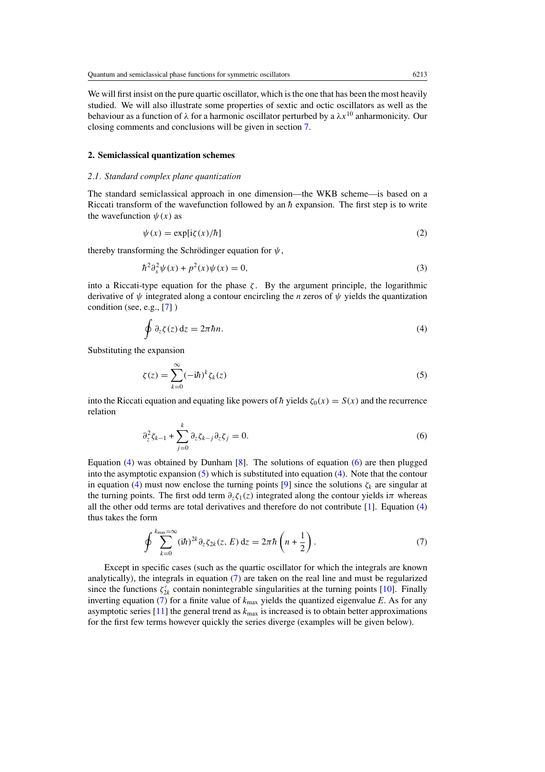<span id="page-2-0"></span>We will first insist on the pure quartic oscillator, which is the one that has been the most heavily studied. We will also illustrate some properties of sextic and octic oscillators as well as the behaviour as a function of *λ* for a harmonic oscillator perturbed by a *λx*<sup>10</sup> anharmonicity. Our closing comments and conclusions will be given in section [7.](#page-16-0)

## **2. Semiclassical quantization schemes**

# *2.1. Standard complex plane quantization*

The standard semiclassical approach in one dimension—the WKB scheme—is based on a Riccati transform of the wavefunction followed by an  $\hbar$  expansion. The first step is to write the wavefunction  $\psi(x)$  as

$$
\psi(x) = \exp[i\zeta(x)/\hbar]
$$
\n(2)

thereby transforming the Schrödinger equation for  $\psi$ ,

$$
\hbar^2 \partial_x^2 \psi(x) + p^2(x)\psi(x) = 0,\tag{3}
$$

into a Riccati-type equation for the phase  $\zeta$ . By the argument principle, the logarithmic derivative of *ψ* integrated along a contour encircling the *n* zeros of *ψ* yields the quantization condition (see, e.g., [\[7\]](#page-19-0) )

$$
\oint \partial_z \zeta(z) dz = 2\pi \hbar n. \tag{4}
$$

Substituting the expansion

$$
\zeta(z) = \sum_{k=0}^{\infty} (-i\hbar)^k \zeta_k(z)
$$
\n(5)

into the Riccati equation and equating like powers of  $\hbar$  yields  $\zeta_0(x) = S(x)$  and the recurrence relation

$$
\partial_z^2 \zeta_{k-1} + \sum_{j=0}^k \partial_z \zeta_{k-j} \partial_z \zeta_j = 0. \tag{6}
$$

Equation  $(4)$  was obtained by Dunham  $[8]$  $[8]$ . The solutions of equation  $(6)$  are then plugged into the asymptotic expansion (5) which is substituted into equation (4). Note that the contour in equation (4) must now enclose the turning points [\[9\]](#page-19-0) since the solutions  $\zeta_k$  are singular at the turning points. The first odd term  $\partial_z \zeta_1(z)$  integrated along the contour yields i $\pi$  whereas all the other odd terms are total derivatives and therefore do not contribute [\[1\]](#page-19-0). Equation (4) thus takes the form

$$
\oint \sum_{k=0}^{k_{\text{max}}=\infty} (\mathrm{i} \hbar)^{2k} \partial_z \zeta_{2k}(z, E) \, \mathrm{d}z = 2\pi \hbar \left( n + \frac{1}{2} \right). \tag{7}
$$

Except in specific cases (such as the quartic oscillator for which the integrals are known analytically), the integrals in equation (7) are taken on the real line and must be regularized since the functions  $\zeta'_{2k}$  contain nonintegrable singularities at the turning points [\[10\]](#page-19-0). Finally inverting equation (7) for a finite value of  $k_{\text{max}}$  yields the quantized eigenvalue *E*. As for any asymptotic series  $[11]$  $[11]$  the general trend as  $k_{\text{max}}$  is increased is to obtain better approximations for the first few terms however quickly the series diverge (examples will be given below).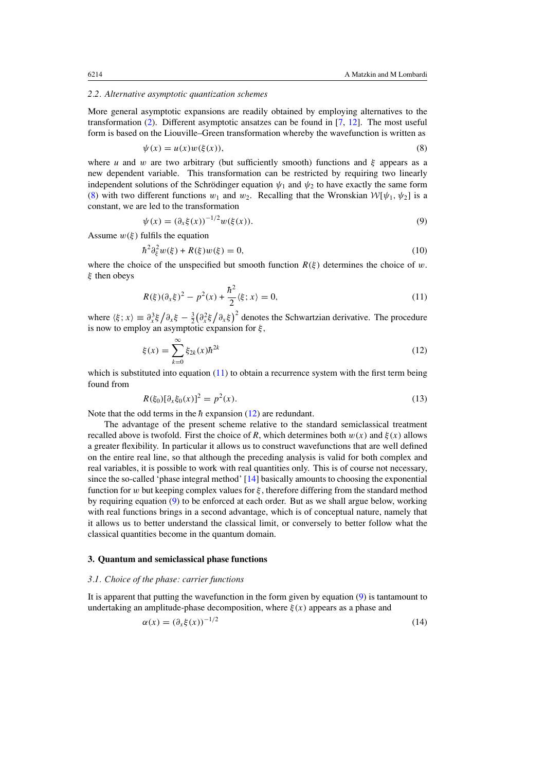#### <span id="page-3-0"></span>*2.2. Alternative asymptotic quantization schemes*

More general asymptotic expansions are readily obtained by employing alternatives to the transformation [\(2\)](#page-2-0). Different asymptotic ansatzes can be found in [\[7](#page-19-0), [12](#page-19-0)]. The most useful form is based on the Liouville–Green transformation whereby the wavefunction is written as

$$
\psi(x) = u(x)w(\xi(x)),\tag{8}
$$

where *u* and *w* are two arbitrary (but sufficiently smooth) functions and *ξ* appears as a new dependent variable. This transformation can be restricted by requiring two linearly independent solutions of the Schrödinger equation  $\psi_1$  and  $\psi_2$  to have exactly the same form (8) with two different functions  $w_1$  and  $w_2$ . Recalling that the Wronskian  $W[\psi_1, \psi_2]$  is a constant, we are led to the transformation

$$
\psi(x) = (\partial_x \xi(x))^{-1/2} w(\xi(x)).
$$
\n(9)

Assume  $w(\xi)$  fulfils the equation

$$
\hbar^2 \partial_{\xi}^2 w(\xi) + R(\xi)w(\xi) = 0,\tag{10}
$$

where the choice of the unspecified but smooth function  $R(\xi)$  determines the choice of *w*. *ξ* then obeys

$$
R(\xi)(\partial_x \xi)^2 - p^2(x) + \frac{\hbar^2}{2} \langle \xi; x \rangle = 0,
$$
\n(11)

where  $\langle \xi; x \rangle \equiv \partial_x^3 \xi / \partial_x \xi - \frac{3}{2} (\partial_x^2 \xi / \partial_x \xi)^2$  denotes the Schwartzian derivative. The procedure is now to employ an asymptotic expansion for *ξ ,*

$$
\xi(x) = \sum_{k=0}^{\infty} \xi_{2k}(x) \hbar^{2k}
$$
 (12)

which is substituted into equation  $(11)$  to obtain a recurrence system with the first term being found from

$$
R(\xi_0)[\partial_x \xi_0(x)]^2 = p^2(x). \tag{13}
$$

Note that the odd terms in the  $\hbar$  expansion (12) are redundant.

The advantage of the present scheme relative to the standard semiclassical treatment recalled above is twofold. First the choice of *R*, which determines both  $w(x)$  and  $\xi(x)$  allows a greater flexibility. In particular it allows us to construct wavefunctions that are well defined on the entire real line, so that although the preceding analysis is valid for both complex and real variables, it is possible to work with real quantities only. This is of course not necessary, since the so-called 'phase integral method' [\[14\]](#page-19-0) basically amounts to choosing the exponential function for *w* but keeping complex values for *ξ* , therefore differing from the standard method by requiring equation (9) to be enforced at each order. But as we shall argue below, working with real functions brings in a second advantage, which is of conceptual nature, namely that it allows us to better understand the classical limit, or conversely to better follow what the classical quantities become in the quantum domain.

#### **3. Quantum and semiclassical phase functions**

#### *3.1. Choice of the phase: carrier functions*

It is apparent that putting the wavefunction in the form given by equation (9) is tantamount to undertaking an amplitude-phase decomposition, where  $\xi(x)$  appears as a phase and

$$
\alpha(x) = \left(\partial_x \xi(x)\right)^{-1/2} \tag{14}
$$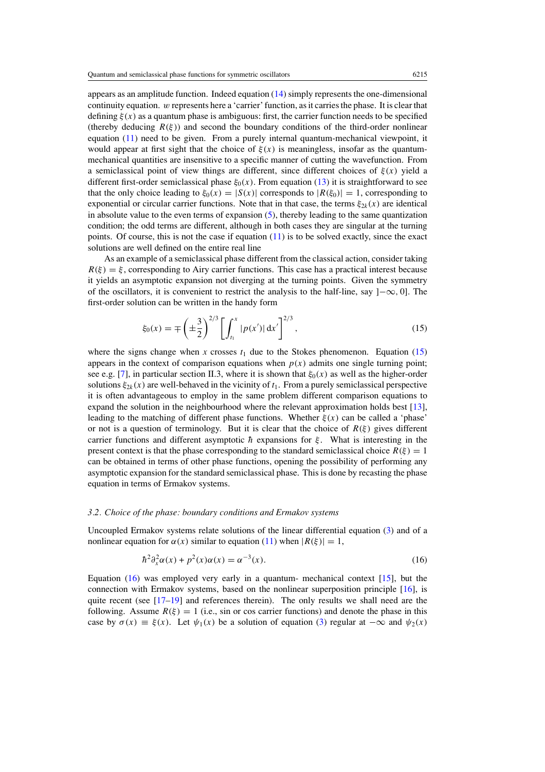<span id="page-4-0"></span>appears as an amplitude function. Indeed equation [\(14\)](#page-3-0) simply represents the one-dimensional continuity equation. *w* represents here a 'carrier' function, as it carries the phase. It is clear that defining  $\xi(x)$  as a quantum phase is ambiguous: first, the carrier function needs to be specified (thereby deducing  $R(\xi)$ ) and second the boundary conditions of the third-order nonlinear equation [\(11\)](#page-3-0) need to be given. From a purely internal quantum-mechanical viewpoint, it would appear at first sight that the choice of  $\xi(x)$  is meaningless, insofar as the quantummechanical quantities are insensitive to a specific manner of cutting the wavefunction. From a semiclassical point of view things are different, since different choices of *ξ(x)* yield a different first-order semiclassical phase  $\xi_0(x)$ . From equation [\(13\)](#page-3-0) it is straightforward to see that the only choice leading to  $\xi_0(x) = |S(x)|$  corresponds to  $|R(\xi_0)| = 1$ , corresponding to exponential or circular carrier functions. Note that in that case, the terms  $\xi_{2k}(x)$  are identical in absolute value to the even terms of expansion [\(5\)](#page-2-0), thereby leading to the same quantization condition; the odd terms are different, although in both cases they are singular at the turning points. Of course, this is not the case if equation  $(11)$  is to be solved exactly, since the exact solutions are well defined on the entire real line

As an example of a semiclassical phase different from the classical action, consider taking  $R(\xi) = \xi$ , corresponding to Airy carrier functions. This case has a practical interest because it yields an asymptotic expansion not diverging at the turning points. Given the symmetry of the oscillators, it is convenient to restrict the analysis to the half-line, say ]−∞*,* 0]*.* The first-order solution can be written in the handy form

$$
\xi_0(x) = \mp \left(\pm \frac{3}{2}\right)^{2/3} \left[ \int_{t_1}^x |p(x')| \, \mathrm{d}x' \right]^{2/3},\tag{15}
$$

where the signs change when *x* crosses  $t_1$  due to the Stokes phenomenon. Equation (15) appears in the context of comparison equations when  $p(x)$  admits one single turning point; see e.g. [\[7\]](#page-19-0), in particular section II.3, where it is shown that *ξ*0*(x)* as well as the higher-order solutions  $\xi_{2k}(x)$  are well-behaved in the vicinity of  $t_1$ . From a purely semiclassical perspective it is often advantageous to employ in the same problem different comparison equations to expand the solution in the neighbourhood where the relevant approximation holds best [\[13\]](#page-19-0), leading to the matching of different phase functions. Whether  $\xi(x)$  can be called a 'phase' or not is a question of terminology. But it is clear that the choice of  $R(\xi)$  gives different carrier functions and different asymptotic  $\hbar$  expansions for  $\xi$ . What is interesting in the present context is that the phase corresponding to the standard semiclassical choice  $R(\xi) = 1$ can be obtained in terms of other phase functions, opening the possibility of performing any asymptotic expansion for the standard semiclassical phase. This is done by recasting the phase equation in terms of Ermakov systems.

#### *3.2. Choice of the phase: boundary conditions and Ermakov systems*

Uncoupled Ermakov systems relate solutions of the linear differential equation [\(3\)](#page-2-0) and of a nonlinear equation for  $\alpha(x)$  similar to equation [\(11\)](#page-3-0) when  $|R(\xi)| = 1$ ,

$$
\hbar^2 \partial_x^2 \alpha(x) + p^2(x)\alpha(x) = \alpha^{-3}(x). \tag{16}
$$

Equation (16) was employed very early in a quantum- mechanical context [\[15\]](#page-19-0), but the connection with Ermakov systems, based on the nonlinear superposition principle [\[16](#page-19-0)], is quite recent (see  $[17–19]$  and references therein). The only results we shall need are the following. Assume  $R(\xi) = 1$  (i.e., sin or cos carrier functions) and denote the phase in this case by  $\sigma(x) \equiv \xi(x)$ . Let  $\psi_1(x)$  be a solution of equation [\(3\)](#page-2-0) regular at  $-\infty$  and  $\psi_2(x)$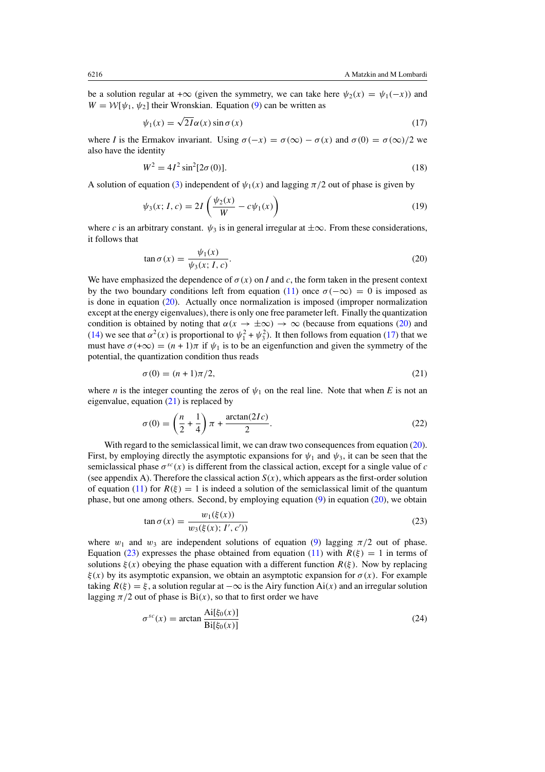<span id="page-5-0"></span>be a solution regular at + $\infty$  (given the symmetry, we can take here  $\psi_2(x) = \psi_1(-x)$ ) and  $W = \mathcal{W}[\psi_1, \psi_2]$  their Wronskian. Equation [\(9\)](#page-3-0) can be written as

$$
\psi_1(x) = \sqrt{2I}\alpha(x)\sin\sigma(x) \tag{17}
$$

where *I* is the Ermakov invariant. Using  $\sigma(-x) = \sigma(\infty) - \sigma(x)$  and  $\sigma(0) = \sigma(\infty)/2$  we also have the identity

$$
W^2 = 4I^2 \sin^2[2\sigma(0)].
$$
\n(18)

A solution of equation [\(3\)](#page-2-0) independent of  $\psi_1(x)$  and lagging  $\pi/2$  out of phase is given by

$$
\psi_3(x; I, c) = 2I \left( \frac{\psi_2(x)}{W} - c\psi_1(x) \right)
$$
\n(19)

where *c* is an arbitrary constant.  $\psi_3$  is in general irregular at  $\pm \infty$ . From these considerations, it follows that

$$
\tan \sigma(x) = \frac{\psi_1(x)}{\psi_3(x; I, c)}.
$$
\n(20)

We have emphasized the dependence of  $\sigma(x)$  on *I* and *c*, the form taken in the present context by the two boundary conditions left from equation [\(11\)](#page-3-0) once  $\sigma(-\infty) = 0$  is imposed as is done in equation  $(20)$ . Actually once normalization is imposed (improper normalization except at the energy eigenvalues), there is only one free parameter left. Finally the quantization condition is obtained by noting that  $\alpha(x \to \pm \infty) \to \infty$  (because from equations (20) and [\(14\)](#page-3-0) we see that  $\alpha^2(x)$  is proportional to  $\psi_1^2 + \psi_3^2$ ). It then follows from equation (17) that we must have  $\sigma(+\infty) = (n+1)\pi$  if  $\psi_1$  is to be an eigenfunction and given the symmetry of the potential, the quantization condition thus reads

$$
\sigma(0) = (n+1)\pi/2,\tag{21}
$$

where *n* is the integer counting the zeros of  $\psi_1$  on the real line. Note that when *E* is not an eigenvalue, equation (21) is replaced by

$$
\sigma(0) = \left(\frac{n}{2} + \frac{1}{4}\right)\pi + \frac{\arctan(2Ic)}{2}.
$$
\n(22)

With regard to the semiclassical limit, we can draw two consequences from equation (20). First, by employing directly the asymptotic expansions for  $\psi_1$  and  $\psi_3$ , it can be seen that the semiclassical phase  $\sigma^{sc}(x)$  is different from the classical action, except for a single value of *c* (see appendix A). Therefore the classical action  $S(x)$ , which appears as the first-order solution of equation [\(11\)](#page-3-0) for  $R(\xi) = 1$  is indeed a solution of the semiclassical limit of the quantum phase, but one among others. Second, by employing equation  $(9)$  in equation  $(20)$ , we obtain

$$
\tan \sigma(x) = \frac{w_1(\xi(x))}{w_3(\xi(x); I', c'))}
$$
\n(23)

where  $w_1$  and  $w_3$  are independent solutions of equation [\(9\)](#page-3-0) lagging  $\pi/2$  out of phase. Equation (23) expresses the phase obtained from equation [\(11\)](#page-3-0) with  $R(\xi) = 1$  in terms of solutions  $\xi(x)$  obeying the phase equation with a different function  $R(\xi)$ . Now by replacing *ξ(x)* by its asymptotic expansion, we obtain an asymptotic expansion for *σ (x)*. For example taking  $R(\xi) = \xi$ , a solution regular at  $-\infty$  is the Airy function Ai(x) and an irregular solution lagging  $\pi/2$  out of phase is  $\text{Bi}(x)$ , so that to first order we have

$$
\sigma^{sc}(x) = \arctan \frac{\text{Ai}[\xi_0(x)]}{\text{Bi}[\xi_0(x)]}
$$
\n(24)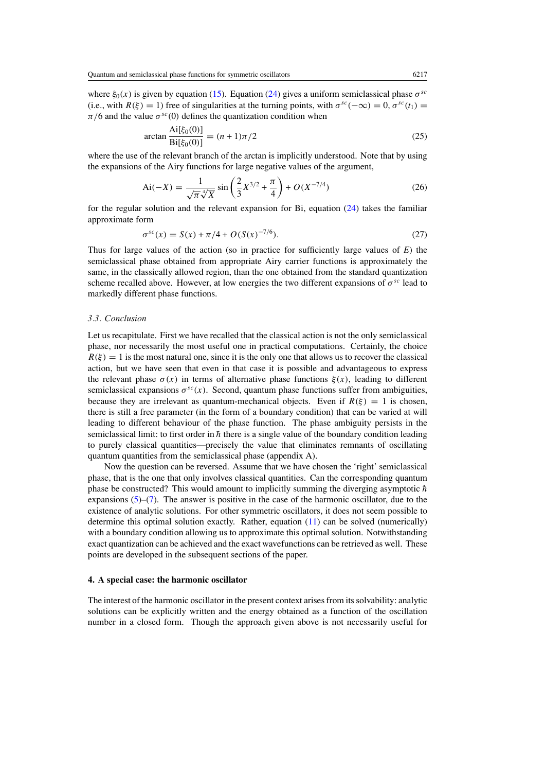<span id="page-6-0"></span>where  $\xi_0(x)$  is given by equation [\(15\)](#page-4-0). Equation [\(24\)](#page-5-0) gives a uniform semiclassical phase  $\sigma^{sc}$ (i.e., with  $R(\xi) = 1$ ) free of singularities at the turning points, with  $\sigma^{sc}(-\infty) = 0$ ,  $\sigma^{sc}(t_1) =$  $\pi/6$  and the value  $\sigma^{sc}(0)$  defines the quantization condition when

$$
\arctan \frac{\text{Ai}[\xi_0(0)]}{\text{Bi}[\xi_0(0)]} = (n+1)\pi/2
$$
\n(25)

where the use of the relevant branch of the arctan is implicitly understood. Note that by using the expansions of the Airy functions for large negative values of the argument,

$$
Ai(-X) = \frac{1}{\sqrt{\pi}\sqrt[4]{X}} sin\left(\frac{2}{3}X^{3/2} + \frac{\pi}{4}\right) + O(X^{-7/4})
$$
\n(26)

for the regular solution and the relevant expansion for Bi, equation  $(24)$  takes the familiar approximate form

$$
\sigma^{sc}(x) = S(x) + \pi/4 + O(S(x)^{-7/6}).
$$
\n(27)

Thus for large values of the action (so in practice for sufficiently large values of *E*) the semiclassical phase obtained from appropriate Airy carrier functions is approximately the same, in the classically allowed region, than the one obtained from the standard quantization scheme recalled above. However, at low energies the two different expansions of  $\sigma^{sc}$  lead to markedly different phase functions.

#### *3.3. Conclusion*

Let us recapitulate. First we have recalled that the classical action is not the only semiclassical phase, nor necessarily the most useful one in practical computations. Certainly, the choice  $R(\xi) = 1$  is the most natural one, since it is the only one that allows us to recover the classical action, but we have seen that even in that case it is possible and advantageous to express the relevant phase  $\sigma(x)$  in terms of alternative phase functions  $\xi(x)$ , leading to different semiclassical expansions  $\sigma^{sc}(x)$ . Second, quantum phase functions suffer from ambiguities, because they are irrelevant as quantum-mechanical objects. Even if  $R(\xi) = 1$  is chosen, there is still a free parameter (in the form of a boundary condition) that can be varied at will leading to different behaviour of the phase function. The phase ambiguity persists in the semiclassical limit: to first order in  $\hbar$  there is a single value of the boundary condition leading to purely classical quantities—precisely the value that eliminates remnants of oscillating quantum quantities from the semiclassical phase (appendix A).

Now the question can be reversed. Assume that we have chosen the 'right' semiclassical phase, that is the one that only involves classical quantities. Can the corresponding quantum phase be constructed? This would amount to implicitly summing the diverging asymptotic  $\hbar$ expansions  $(5)$ – $(7)$ . The answer is positive in the case of the harmonic oscillator, due to the existence of analytic solutions. For other symmetric oscillators, it does not seem possible to determine this optimal solution exactly. Rather, equation [\(11\)](#page-3-0) can be solved (numerically) with a boundary condition allowing us to approximate this optimal solution. Notwithstanding exact quantization can be achieved and the exact wavefunctions can be retrieved as well. These points are developed in the subsequent sections of the paper.

### **4. A special case: the harmonic oscillator**

The interest of the harmonic oscillator in the present context arises from its solvability: analytic solutions can be explicitly written and the energy obtained as a function of the oscillation number in a closed form. Though the approach given above is not necessarily useful for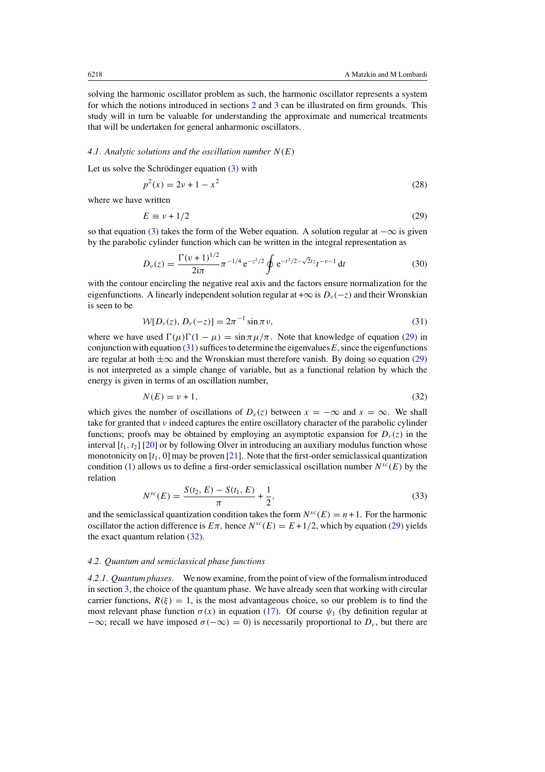<span id="page-7-0"></span>solving the harmonic oscillator problem as such, the harmonic oscillator represents a system for which the notions introduced in sections [2](#page-2-0) and [3](#page-3-0) can be illustrated on firm grounds. This study will in turn be valuable for understanding the approximate and numerical treatments that will be undertaken for general anharmonic oscillators.

#### *4.1. Analytic solutions and the oscillation number N (E)*

Let us solve the Schrödinger equation  $(3)$  $(3)$  with

$$
p^2(x) = 2\nu + 1 - x^2
$$
 (28)

where we have written

$$
E \equiv \nu + 1/2 \tag{29}
$$

so that equation [\(3\)](#page-2-0) takes the form of the Weber equation. A solution regular at  $-\infty$  is given by the parabolic cylinder function which can be written in the integral representation as

$$
D_{\nu}(z) = \frac{\Gamma(\nu+1)^{1/2}}{2i\pi} \pi^{-1/4} e^{-z^2/2} \oint e^{-t^2/2 - \sqrt{2}tz} t^{-\nu-1} dt
$$
 (30)

with the contour encircling the negative real axis and the factors ensure normalization for the eigenfunctions. A linearly independent solution regular at + $\infty$  is  $D_v(-z)$  and their Wronskian is seen to be

$$
W[D_{\nu}(z), D_{\nu}(-z)] = 2\pi^{-1} \sin \pi \nu,
$$
\n(31)

where we have used  $\Gamma(\mu)\Gamma(1-\mu) = \sin \pi \mu/\pi$ . Note that knowledge of equation (29) in conjunction with equation  $(31)$  suffices to determine the eigenvalues  $E$ , since the eigenfunctions are regular at both  $\pm \infty$  and the Wronskian must therefore vanish. By doing so equation (29) is not interpreted as a simple change of variable, but as a functional relation by which the energy is given in terms of an oscillation number,

$$
N(E) = \nu + 1,\tag{32}
$$

which gives the number of oscillations of  $D_v(z)$  between  $x = -\infty$  and  $x = \infty$ . We shall take for granted that *ν* indeed captures the entire oscillatory character of the parabolic cylinder functions; proofs may be obtained by employing an asymptotic expansion for  $D_\nu(z)$  in the interval [*t*1*, t*2] [\[20\]](#page-19-0) or by following Olver in introducing an auxiliary modulus function whose monotonicity on [*t*1*,* 0] may be proven [\[21](#page-19-0)]. Note that the first-order semiclassical quantization condition [\(1\)](#page-0-0) allows us to define a first-order semiclassical oscillation number  $N^{sc}(E)$  by the relation

$$
N^{sc}(E) = \frac{S(t_2, E) - S(t_1, E)}{\pi} + \frac{1}{2},
$$
\n(33)

and the semiclassical quantization condition takes the form  $N^{sc}(E) = n + 1$ . For the harmonic oscillator the action difference is  $E\pi$ , hence  $N^{sc}(E) = E + 1/2$ , which by equation (29) yields the exact quantum relation  $(32)$ .

### *4.2. Quantum and semiclassical phase functions*

*4.2.1. Quantum phases.* We now examine, from the point of view of the formalism introduced in section [3,](#page-3-0) the choice of the quantum phase. We have already seen that working with circular carrier functions,  $R(\xi) = 1$ , is the most advantageous choice, so our problem is to find the most relevant phase function  $\sigma(x)$  in equation [\(17\)](#page-5-0). Of course  $\psi_1$  (by definition regular at  $-\infty$ ; recall we have imposed  $\sigma(-\infty) = 0$  is necessarily proportional to  $D_{\nu}$ , but there are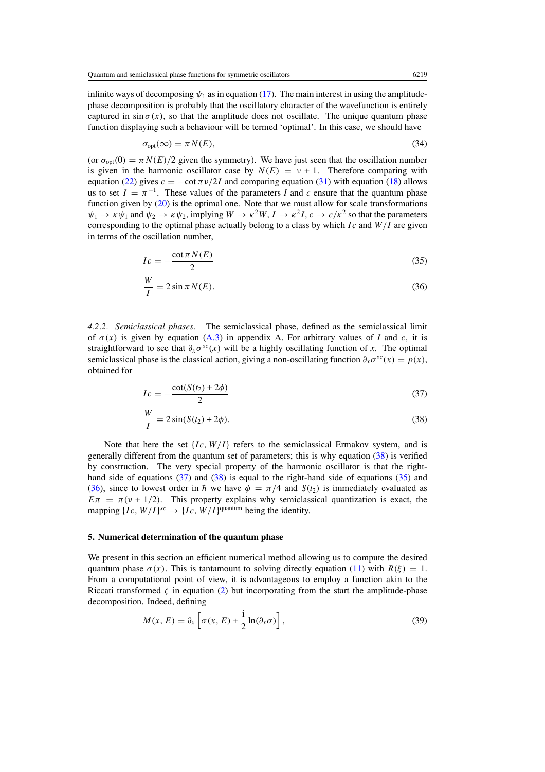<span id="page-8-0"></span>infinite ways of decomposing  $\psi_1$  as in equation [\(17\)](#page-5-0). The main interest in using the amplitudephase decomposition is probably that the oscillatory character of the wavefunction is entirely captured in  $\sin \sigma(x)$ , so that the amplitude does not oscillate. The unique quantum phase function displaying such a behaviour will be termed 'optimal'. In this case, we should have

$$
\sigma_{\text{opt}}(\infty) = \pi N(E),\tag{34}
$$

(or  $\sigma_{opt}(0) = \pi N(E)/2$  given the symmetry). We have just seen that the oscillation number is given in the harmonic oscillator case by  $N(E) = v + 1$ . Therefore comparing with equation [\(22\)](#page-5-0) gives  $c = -\cot \frac{\pi v}{2I}$  and comparing equation [\(31\)](#page-7-0) with equation [\(18\)](#page-5-0) allows us to set  $I = \pi^{-1}$ . These values of the parameters *I* and *c* ensure that the quantum phase function given by  $(20)$  is the optimal one. Note that we must allow for scale transformations  $\psi_1 \to \kappa \psi_1$  and  $\psi_2 \to \kappa \psi_2$ , implying  $W \to \kappa^2 W$ ,  $I \to \kappa^2 I$ ,  $c \to c/\kappa^2$  so that the parameters corresponding to the optimal phase actually belong to a class by which *I c* and *W/I* are given in terms of the oscillation number,

$$
Ic = -\frac{\cot \pi N(E)}{2} \tag{35}
$$

$$
\frac{W}{I} = 2\sin\pi N(E). \tag{36}
$$

*4.2.2. Semiclassical phases.* The semiclassical phase, defined as the semiclassical limit of  $\sigma(x)$  is given by equation [\(A](#page-17-0).3) in appendix A. For arbitrary values of *I* and *c*, it is straightforward to see that  $\partial_x \sigma^{sc}(x)$  will be a highly oscillating function of *x*. The optimal semiclassical phase is the classical action, giving a non-oscillating function  $\partial_x \sigma^{sc}(x) = p(x)$ , obtained for

$$
Ic = -\frac{\cot(S(t_2) + 2\phi)}{2}
$$
 (37)

$$
\frac{W}{I} = 2\sin(S(t_2) + 2\phi). \tag{38}
$$

Note that here the set  ${Ic, W/I}$  refers to the semiclassical Ermakov system, and is generally different from the quantum set of parameters; this is why equation (38) is verified by construction. The very special property of the harmonic oscillator is that the righthand side of equations  $(37)$  and  $(38)$  is equal to the right-hand side of equations  $(35)$  and (36), since to lowest order in  $\hbar$  we have  $\phi = \pi/4$  and  $S(t_2)$  is immediately evaluated as  $E\pi = \pi(\nu + 1/2)$ . This property explains why semiclassical quantization is exact, the mapping  ${Ic, W/I}^{sc} \rightarrow {Ic, W/I}^{quantum}$  being the identity.

## **5. Numerical determination of the quantum phase**

We present in this section an efficient numerical method allowing us to compute the desired quantum phase  $\sigma(x)$ . This is tantamount to solving directly equation [\(11\)](#page-3-0) with  $R(\xi) = 1$ . From a computational point of view, it is advantageous to employ a function akin to the Riccati transformed  $\zeta$  in equation [\(2\)](#page-2-0) but incorporating from the start the amplitude-phase decomposition. Indeed, defining

$$
M(x, E) = \partial_x \left[ \sigma(x, E) + \frac{i}{2} \ln(\partial_x \sigma) \right],
$$
\n(39)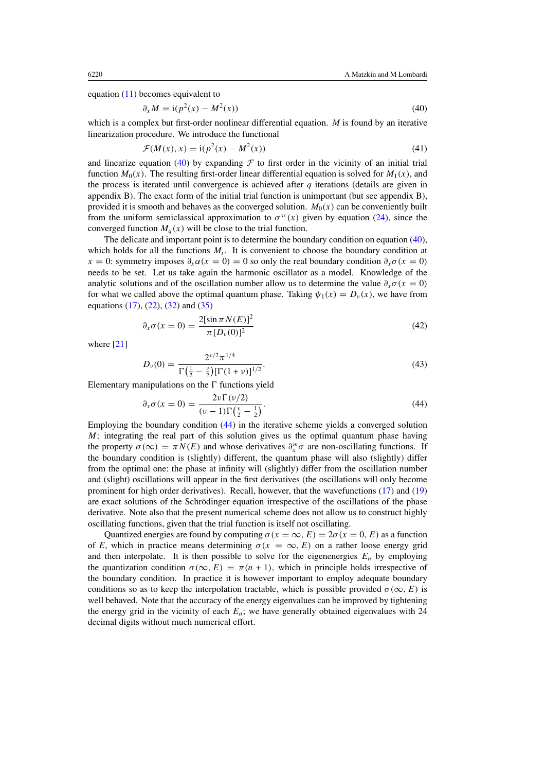equation  $(11)$  becomes equivalent to

$$
\partial_x M = \mathrm{i} (p^2(x) - M^2(x)) \tag{40}
$$

which is a complex but first-order nonlinear differential equation. *M* is found by an iterative linearization procedure. We introduce the functional

$$
\mathcal{F}(M(x), x) = \mathrm{i}(p^2(x) - M^2(x))
$$
\n(41)

and linearize equation (40) by expanding  $\mathcal F$  to first order in the vicinity of an initial trial function  $M_0(x)$ . The resulting first-order linear differential equation is solved for  $M_1(x)$ , and the process is iterated until convergence is achieved after *q* iterations (details are given in appendix B). The exact form of the initial trial function is unimportant (but see appendix B), provided it is smooth and behaves as the converged solution.  $M_0(x)$  can be conveniently built from the uniform semiclassical approximation to  $\sigma^{sc}(x)$  given by equation [\(24\)](#page-5-0), since the converged function  $M_a(x)$  will be close to the trial function.

The delicate and important point is to determine the boundary condition on equation (40), which holds for all the functions  $M_i$ . It is convenient to choose the boundary condition at *x* = 0: symmetry imposes  $\partial_x \alpha(x = 0) = 0$  so only the real boundary condition  $\partial_x \sigma(x = 0)$ needs to be set. Let us take again the harmonic oscillator as a model. Knowledge of the analytic solutions and of the oscillation number allow us to determine the value  $\partial_x \sigma(x = 0)$ for what we called above the optimal quantum phase. Taking  $\psi_1(x) = D_\nu(x)$ , we have from equations [\(17\)](#page-5-0), [\(22\)](#page-5-0), [\(32\)](#page-7-0) and [\(35\)](#page-8-0)

$$
\partial_x \sigma(x = 0) = \frac{2[\sin \pi N(E)]^2}{\pi [D_v(0)]^2}
$$
\n(42)

where [\[21](#page-19-0)]

$$
D_{\nu}(0) = \frac{2^{\nu/2} \pi^{1/4}}{\Gamma(\frac{1}{2} - \frac{\nu}{2}) [\Gamma(1 + \nu)]^{1/2}}.
$$
\n(43)

Elementary manipulations on the  $\Gamma$  functions yield

$$
\partial_x \sigma(x=0) = \frac{2\nu \Gamma(\nu/2)}{(\nu-1)\Gamma(\frac{\nu}{2}-\frac{1}{2})}.
$$
\n(44)

Employing the boundary condition (44) in the iterative scheme yields a converged solution *M*; integrating the real part of this solution gives us the optimal quantum phase having the property  $\sigma(\infty) = \pi N(E)$  and whose derivatives  $\partial_x^m \sigma$  are non-oscillating functions. If the boundary condition is (slightly) different, the quantum phase will also (slightly) differ from the optimal one: the phase at infinity will (slightly) differ from the oscillation number and (slight) oscillations will appear in the first derivatives (the oscillations will only become prominent for high order derivatives). Recall, however, that the wavefunctions [\(17\)](#page-5-0) and [\(19\)](#page-5-0) are exact solutions of the Schrödinger equation irrespective of the oscillations of the phase derivative. Note also that the present numerical scheme does not allow us to construct highly oscillating functions, given that the trial function is itself not oscillating.

Quantized energies are found by computing  $\sigma(x = \infty, E) = 2\sigma(x = 0, E)$  as a function of *E*, which in practice means determining  $\sigma(x = \infty, E)$  on a rather loose energy grid and then interpolate. It is then possible to solve for the eigenenergies  $E_n$  by employing the quantization condition  $\sigma(\infty, E) = \pi(n + 1)$ , which in principle holds irrespective of the boundary condition. In practice it is however important to employ adequate boundary conditions so as to keep the interpolation tractable, which is possible provided  $\sigma(\infty, E)$  is well behaved. Note that the accuracy of the energy eigenvalues can be improved by tightening the energy grid in the vicinity of each *En*; we have generally obtained eigenvalues with 24 decimal digits without much numerical effort.

<span id="page-9-0"></span>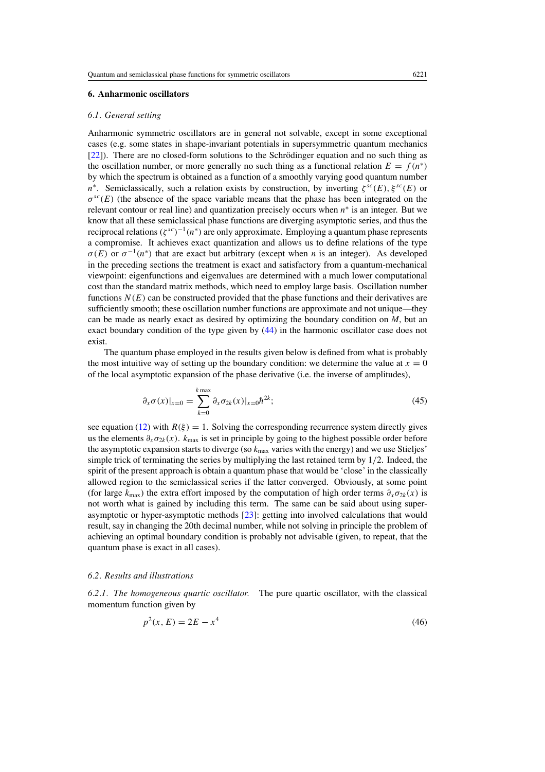## <span id="page-10-0"></span>**6. Anharmonic oscillators**

### *6.1. General setting*

Anharmonic symmetric oscillators are in general not solvable, except in some exceptional cases (e.g. some states in shape-invariant potentials in supersymmetric quantum mechanics [\[22](#page-19-0)]). There are no closed-form solutions to the Schrödinger equation and no such thing as the oscillation number, or more generally no such thing as a functional relation  $E = f(n^*)$ by which the spectrum is obtained as a function of a smoothly varying good quantum number  $n^*$ . Semiclassically, such a relation exists by construction, by inverting  $\zeta^{sc}(E)$ ,  $\xi^{sc}(E)$  or *σsc(E)* (the absence of the space variable means that the phase has been integrated on the relevant contour or real line) and quantization precisely occurs when *n*<sup>∗</sup> is an integer. But we know that all these semiclassical phase functions are diverging asymptotic series, and thus the reciprocal relations *(ζ sc)*<sup>−</sup>1*(n*<sup>∗</sup>*)* are only approximate. Employing a quantum phase represents a compromise. It achieves exact quantization and allows us to define relations of the type  $\sigma(E)$  or  $\sigma^{-1}(n^*)$  that are exact but arbitrary (except when *n* is an integer). As developed in the preceding sections the treatment is exact and satisfactory from a quantum-mechanical viewpoint: eigenfunctions and eigenvalues are determined with a much lower computational cost than the standard matrix methods, which need to employ large basis. Oscillation number functions  $N(E)$  can be constructed provided that the phase functions and their derivatives are sufficiently smooth; these oscillation number functions are approximate and not unique—they can be made as nearly exact as desired by optimizing the boundary condition on *M*, but an exact boundary condition of the type given by [\(44\)](#page-9-0) in the harmonic oscillator case does not exist.

The quantum phase employed in the results given below is defined from what is probably the most intuitive way of setting up the boundary condition: we determine the value at  $x = 0$ of the local asymptotic expansion of the phase derivative (i.e. the inverse of amplitudes),

$$
\partial_x \sigma(x)|_{x=0} = \sum_{k=0}^{k \max} \partial_x \sigma_{2k}(x)|_{x=0} \hbar^{2k};
$$
\n(45)

see equation [\(12\)](#page-3-0) with  $R(\xi) = 1$ . Solving the corresponding recurrence system directly gives us the elements  $\partial_x \sigma_{2k}(x)$ .  $k_{\text{max}}$  is set in principle by going to the highest possible order before the asymptotic expansion starts to diverge (so *k*max varies with the energy) and we use Stieljes' simple trick of terminating the series by multiplying the last retained term by 1*/*2. Indeed, the spirit of the present approach is obtain a quantum phase that would be 'close' in the classically allowed region to the semiclassical series if the latter converged. Obviously, at some point (for large  $k_{\text{max}}$ ) the extra effort imposed by the computation of high order terms  $\partial_x \sigma_{2k}(x)$  is not worth what is gained by including this term. The same can be said about using superasymptotic or hyper-asymptotic methods [\[23](#page-19-0)]: getting into involved calculations that would result, say in changing the 20th decimal number, while not solving in principle the problem of achieving an optimal boundary condition is probably not advisable (given, to repeat, that the quantum phase is exact in all cases).

#### *6.2. Results and illustrations*

*6.2.1. The homogeneous quartic oscillator.* The pure quartic oscillator, with the classical momentum function given by

$$
p^2(x, E) = 2E - x^4
$$
\n(46)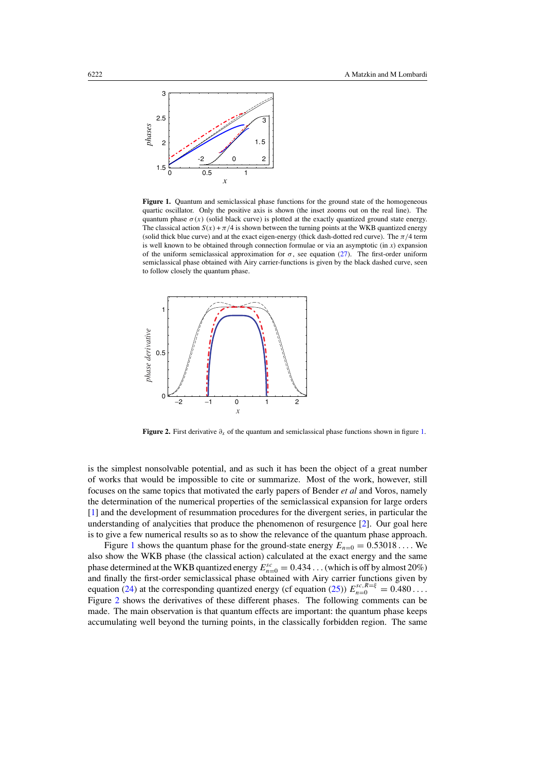<span id="page-11-0"></span>

**Figure 1.** Quantum and semiclassical phase functions for the ground state of the homogeneous quartic oscillator. Only the positive axis is shown (the inset zooms out on the real line). The quantum phase  $\sigma(x)$  (solid black curve) is plotted at the exactly quantized ground state energy. The classical action  $S(x) + \pi/4$  is shown between the turning points at the WKB quantized energy (solid thick blue curve) and at the exact eigen-energy (thick dash-dotted red curve). The *π/*4 term is well known to be obtained through connection formulae or via an asymptotic (in *x*) expansion of the uniform semiclassical approximation for  $\sigma$ , see equation [\(27\)](#page-6-0). The first-order uniform semiclassical phase obtained with Airy carrier-functions is given by the black dashed curve, seen to follow closely the quantum phase.



**Figure 2.** First derivative *∂x* of the quantum and semiclassical phase functions shown in figure 1.

is the simplest nonsolvable potential, and as such it has been the object of a great number of works that would be impossible to cite or summarize. Most of the work, however, still focuses on the same topics that motivated the early papers of Bender *et al* and Voros, namely the determination of the numerical properties of the semiclassical expansion for large orders [\[1](#page-19-0)] and the development of resummation procedures for the divergent series, in particular the understanding of analycities that produce the phenomenon of resurgence [\[2](#page-19-0)]. Our goal here is to give a few numerical results so as to show the relevance of the quantum phase approach.

Figure 1 shows the quantum phase for the ground-state energy  $E_{n=0} = 0.53018...$  We also show the WKB phase (the classical action) calculated at the exact energy and the same phase determined at the WKB quantized energy  $E_{n=0}^{sc} = 0.434$  ... (which is off by almost 20%) and finally the first-order semiclassical phase obtained with Airy carrier functions given by equation [\(24\)](#page-5-0) at the corresponding quantized energy (cf equation [\(25\)](#page-6-0))  $E_{n=0}^{sc,R=\xi} = 0.480...$ Figure 2 shows the derivatives of these different phases. The following comments can be made. The main observation is that quantum effects are important: the quantum phase keeps accumulating well beyond the turning points, in the classically forbidden region. The same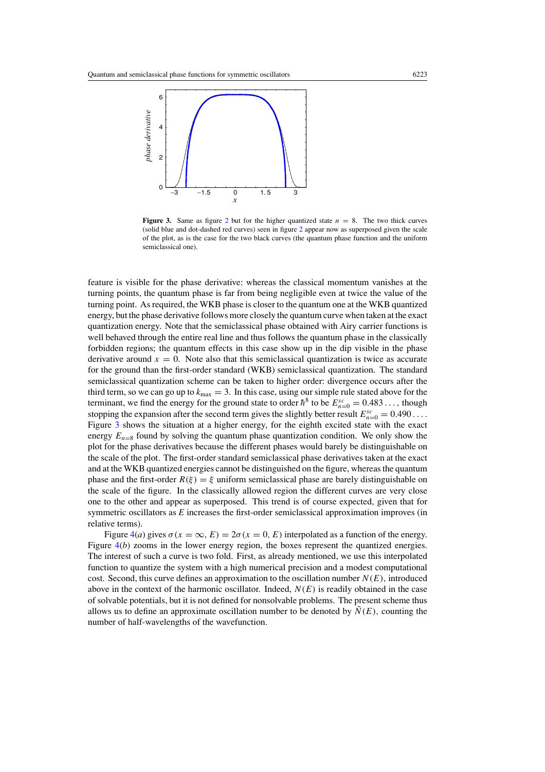

**Figure 3.** Same as figure [2](#page-11-0) but for the higher quantized state  $n = 8$ . The two thick curves (solid blue and dot-dashed red curves) seen in figure [2](#page-11-0) appear now as superposed given the scale of the plot, as is the case for the two black curves (the quantum phase function and the uniform semiclassical one).

feature is visible for the phase derivative: whereas the classical momentum vanishes at the turning points, the quantum phase is far from being negligible even at twice the value of the turning point. As required, the WKB phase is closer to the quantum one at the WKB quantized energy, but the phase derivative follows more closely the quantum curve when taken at the exact quantization energy. Note that the semiclassical phase obtained with Airy carrier functions is well behaved through the entire real line and thus follows the quantum phase in the classically forbidden regions; the quantum effects in this case show up in the dip visible in the phase derivative around  $x = 0$ . Note also that this semiclassical quantization is twice as accurate for the ground than the first-order standard (WKB) semiclassical quantization. The standard semiclassical quantization scheme can be taken to higher order: divergence occurs after the third term, so we can go up to  $k_{\text{max}} = 3$ . In this case, using our simple rule stated above for the terminant, we find the energy for the ground state to order  $\hbar^8$  to be  $E_{n=0}^{sc} = 0.483...$ , though stopping the expansion after the second term gives the slightly better result  $E_{n=0}^{sc} = 0.490 \dots$ Figure 3 shows the situation at a higher energy, for the eighth excited state with the exact energy  $E_{n=8}$  found by solving the quantum phase quantization condition. We only show the plot for the phase derivatives because the different phases would barely be distinguishable on the scale of the plot. The first-order standard semiclassical phase derivatives taken at the exact and at the WKB quantized energies cannot be distinguished on the figure, whereas the quantum phase and the first-order  $R(\xi) = \xi$  uniform semiclassical phase are barely distinguishable on the scale of the figure. In the classically allowed region the different curves are very close one to the other and appear as superposed. This trend is of course expected, given that for symmetric oscillators as *E* increases the first-order semiclassical approximation improves (in relative terms).

Figure  $4(a)$  $4(a)$  gives  $\sigma(x = \infty, E) = 2\sigma(x = 0, E)$  interpolated as a function of the energy. Figure  $4(b)$  $4(b)$  zooms in the lower energy region, the boxes represent the quantized energies. The interest of such a curve is two fold. First, as already mentioned, we use this interpolated function to quantize the system with a high numerical precision and a modest computational cost. Second, this curve defines an approximation to the oscillation number  $N(E)$ , introduced above in the context of the harmonic oscillator. Indeed,  $N(E)$  is readily obtained in the case of solvable potentials, but it is not defined for nonsolvable problems. The present scheme thus allows us to define an approximate oscillation number to be denoted by  $\tilde{N}(E)$ , counting the number of half-wavelengths of the wavefunction.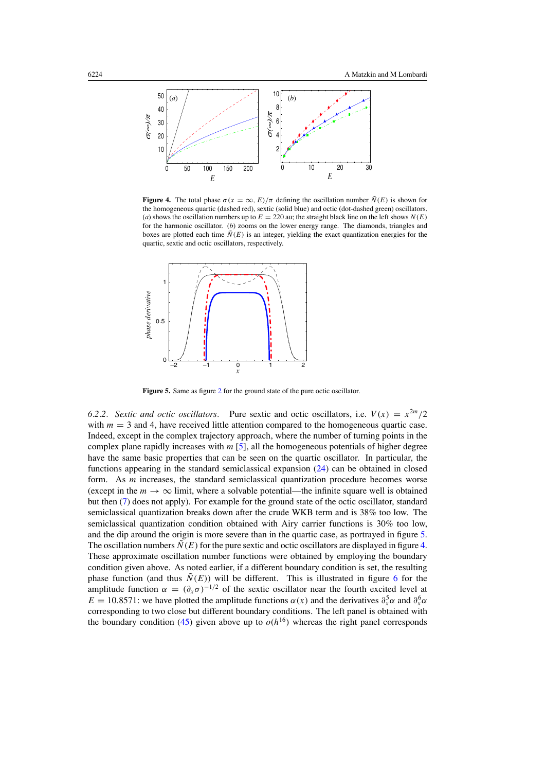<span id="page-13-0"></span>

**Figure 4.** The total phase  $\sigma(x = \infty, E)/\pi$  defining the oscillation number  $\tilde{N}(E)$  is shown for the homogeneous quartic (dashed red), sextic (solid blue) and octic (dot-dashed green) oscillators. (*a*) shows the oscillation numbers up to  $E = 220$  au; the straight black line on the left shows  $N(E)$ for the harmonic oscillator. (*b*) zooms on the lower energy range. The diamonds, triangles and boxes are plotted each time  $\tilde{N}(E)$  is an integer, yielding the exact quantization energies for the quartic, sextic and octic oscillators, respectively.



Figure 5. Same as figure [2](#page-11-0) for the ground state of the pure octic oscillator.

6.2.2. Sextic and octic oscillators. Pure sextic and octic oscillators, i.e.  $V(x) = x^{2m}/2$ with  $m = 3$  and 4, have received little attention compared to the homogeneous quartic case. Indeed, except in the complex trajectory approach, where the number of turning points in the complex plane rapidly increases with *m* [\[5\]](#page-19-0), all the homogeneous potentials of higher degree have the same basic properties that can be seen on the quartic oscillator. In particular, the functions appearing in the standard semiclassical expansion [\(24\)](#page-5-0) can be obtained in closed form. As *m* increases, the standard semiclassical quantization procedure becomes worse (except in the  $m \to \infty$  limit, where a solvable potential—the infinite square well is obtained but then [\(7\)](#page-2-0) does not apply). For example for the ground state of the octic oscillator, standard semiclassical quantization breaks down after the crude WKB term and is 38% too low. The semiclassical quantization condition obtained with Airy carrier functions is 30% too low, and the dip around the origin is more severe than in the quartic case, as portrayed in figure 5. The oscillation numbers  $\tilde{N}(E)$  for the pure sextic and octic oscillators are displayed in figure 4. These approximate oscillation number functions were obtained by employing the boundary condition given above. As noted earlier, if a different boundary condition is set, the resulting phase function (and thus  $\tilde{N}(E)$ ) will be different. This is illustrated in figure [6](#page-14-0) for the amplitude function  $\alpha = (\partial_x \sigma)^{-1/2}$  of the sextic oscillator near the fourth excited level at *E* = 10.8571: we have plotted the amplitude functions  $\alpha(x)$  and the derivatives  $\partial_x^5 \alpha$  and  $\partial_x^6 \alpha$ corresponding to two close but different boundary conditions. The left panel is obtained with the boundary condition [\(45\)](#page-10-0) given above up to  $o(h^{16})$  whereas the right panel corresponds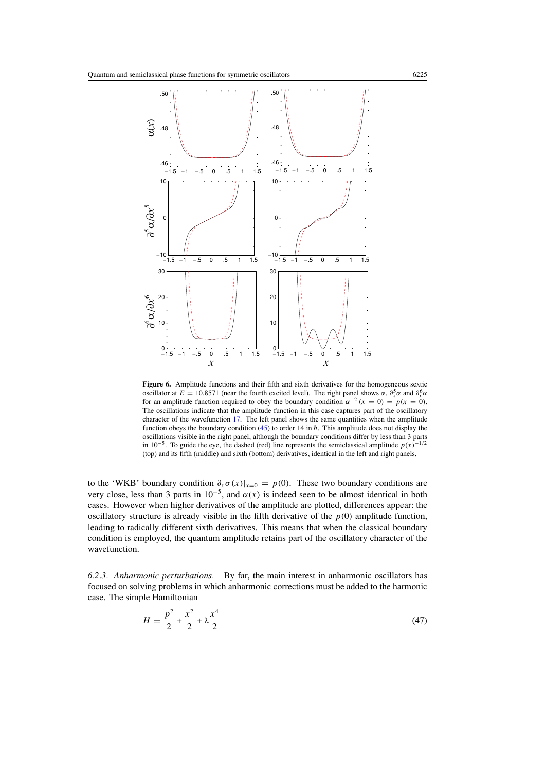<span id="page-14-0"></span>

**Figure 6.** Amplitude functions and their fifth and sixth derivatives for the homogeneous sextic oscillator at  $E = 10.8571$  (near the fourth excited level). The right panel shows  $\alpha$ ,  $\partial_x^5 \alpha$  and  $\partial_x^6 \alpha$ for an amplitude function required to obey the boundary condition  $\alpha^{-2}$  ( $x = 0$ ) =  $p(x = 0)$ . The oscillations indicate that the amplitude function in this case captures part of the oscillatory character of the wavefunction [17.](#page-5-0) The left panel shows the same quantities when the amplitude function obeys the boundary condition [\(45\)](#page-10-0) to order 14 in  $\hbar$ . This amplitude does not display the oscillations visible in the right panel, although the boundary conditions differ by less than 3 parts in 10<sup>−5</sup>. To guide the eye, the dashed (red) line represents the semiclassical amplitude  $p(x)^{-1/2}$ (top) and its fifth (middle) and sixth (bottom) derivatives, identical in the left and right panels.

to the 'WKB' boundary condition  $\partial_x \sigma(x)|_{x=0} = p(0)$ . These two boundary conditions are very close, less than 3 parts in  $10^{-5}$ , and  $\alpha(x)$  is indeed seen to be almost identical in both cases. However when higher derivatives of the amplitude are plotted, differences appear: the oscillatory structure is already visible in the fifth derivative of the  $p(0)$  amplitude function, leading to radically different sixth derivatives. This means that when the classical boundary condition is employed, the quantum amplitude retains part of the oscillatory character of the wavefunction.

*6.2.3. Anharmonic perturbations.* By far, the main interest in anharmonic oscillators has focused on solving problems in which anharmonic corrections must be added to the harmonic case. The simple Hamiltonian

$$
H = \frac{p^2}{2} + \frac{x^2}{2} + \lambda \frac{x^4}{2}
$$
 (47)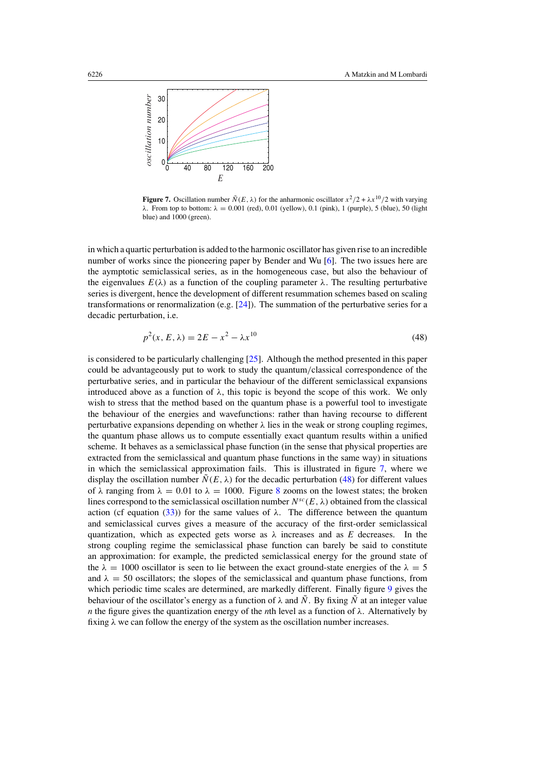

**Figure 7.** Oscillation number  $\tilde{N}(E, \lambda)$  for the anharmonic oscillator  $x^2/2 + \lambda x^{10}/2$  with varying *λ*. From top to bottom: *λ* = 0*.*001 (red), 0.01 (yellow), 0.1 (pink), 1 (purple), 5 (blue), 50 (light blue) and 1000 (green).

in which a quartic perturbation is added to the harmonic oscillator has given rise to an incredible number of works since the pioneering paper by Bender and Wu [\[6\]](#page-19-0). The two issues here are the aymptotic semiclassical series, as in the homogeneous case, but also the behaviour of the eigenvalues  $E(\lambda)$  as a function of the coupling parameter  $\lambda$ . The resulting perturbative series is divergent, hence the development of different resummation schemes based on scaling transformations or renormalization (e.g.  $[24]$  $[24]$ ). The summation of the perturbative series for a decadic perturbation, i.e.

$$
p^{2}(x, E, \lambda) = 2E - x^{2} - \lambda x^{10}
$$
\n(48)

is considered to be particularly challenging [\[25\]](#page-19-0). Although the method presented in this paper could be advantageously put to work to study the quantum*/*classical correspondence of the perturbative series, and in particular the behaviour of the different semiclassical expansions introduced above as a function of  $\lambda$ , this topic is beyond the scope of this work. We only wish to stress that the method based on the quantum phase is a powerful tool to investigate the behaviour of the energies and wavefunctions: rather than having recourse to different perturbative expansions depending on whether  $\lambda$  lies in the weak or strong coupling regimes, the quantum phase allows us to compute essentially exact quantum results within a unified scheme. It behaves as a semiclassical phase function (in the sense that physical properties are extracted from the semiclassical and quantum phase functions in the same way) in situations in which the semiclassical approximation fails. This is illustrated in figure 7, where we display the oscillation number  $\tilde{N}(E, \lambda)$  for the decadic perturbation (48) for different values of  $\lambda$  ranging from  $\lambda = 0.01$  to  $\lambda = 1000$ . Figure [8](#page-16-0) zooms on the lowest states; the broken lines correspond to the semiclassical oscillation number  $N^{sc}(E, \lambda)$  obtained from the classical action (cf equation [\(33\)](#page-7-0)) for the same values of  $λ$ . The difference between the quantum and semiclassical curves gives a measure of the accuracy of the first-order semiclassical quantization, which as expected gets worse as  $\lambda$  increases and as *E* decreases. In the strong coupling regime the semiclassical phase function can barely be said to constitute an approximation: for example, the predicted semiclassical energy for the ground state of the  $\lambda = 1000$  oscillator is seen to lie between the exact ground-state energies of the  $\lambda = 5$ and  $\lambda = 50$  oscillators; the slopes of the semiclassical and quantum phase functions, from which periodic time scales are determined, are markedly different. Finally figure [9](#page-16-0) gives the behaviour of the oscillator's energy as a function of  $\lambda$  and  $\tilde{N}$ . By fixing  $\tilde{N}$  at an integer value *n* the figure gives the quantization energy of the *n*th level as a function of  $\lambda$ . Alternatively by fixing  $\lambda$  we can follow the energy of the system as the oscillation number increases.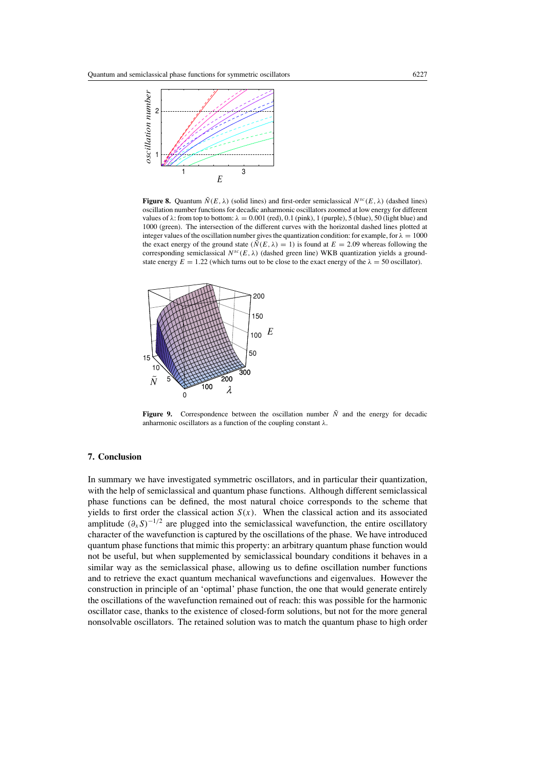<span id="page-16-0"></span>

**Figure 8.** Quantum  $\tilde{N}(E, \lambda)$  (solid lines) and first-order semiclassical  $N^{sc}(E, \lambda)$  (dashed lines) oscillation number functions for decadic anharmonic oscillators zoomed at low energy for different values of  $\lambda$ : from top to bottom:  $\lambda = 0.001$  (red), 0.1 (pink), 1 (purple), 5 (blue), 50 (light blue) and 1000 (green). The intersection of the different curves with the horizontal dashed lines plotted at integer values of the oscillation number gives the quantization condition: for example, for  $\lambda = 1000$ the exact energy of the ground state  $(\tilde{N}(E, \lambda) = 1)$  is found at  $E = 2.09$  whereas following the corresponding semiclassical *Nsc(E, λ)* (dashed green line) WKB quantization yields a groundstate energy  $E = 1.22$  (which turns out to be close to the exact energy of the  $\lambda = 50$  oscillator).



**Figure 9.** Correspondence between the oscillation number  $\tilde{N}$  and the energy for decadic anharmonic oscillators as a function of the coupling constant *λ*.

# **7. Conclusion**

In summary we have investigated symmetric oscillators, and in particular their quantization, with the help of semiclassical and quantum phase functions. Although different semiclassical phase functions can be defined, the most natural choice corresponds to the scheme that yields to first order the classical action  $S(x)$ . When the classical action and its associated amplitude  $(\partial_x S)^{-1/2}$  are plugged into the semiclassical wavefunction, the entire oscillatory character of the wavefunction is captured by the oscillations of the phase. We have introduced quantum phase functions that mimic this property: an arbitrary quantum phase function would not be useful, but when supplemented by semiclassical boundary conditions it behaves in a similar way as the semiclassical phase, allowing us to define oscillation number functions and to retrieve the exact quantum mechanical wavefunctions and eigenvalues. However the construction in principle of an 'optimal' phase function, the one that would generate entirely the oscillations of the wavefunction remained out of reach: this was possible for the harmonic oscillator case, thanks to the existence of closed-form solutions, but not for the more general nonsolvable oscillators. The retained solution was to match the quantum phase to high order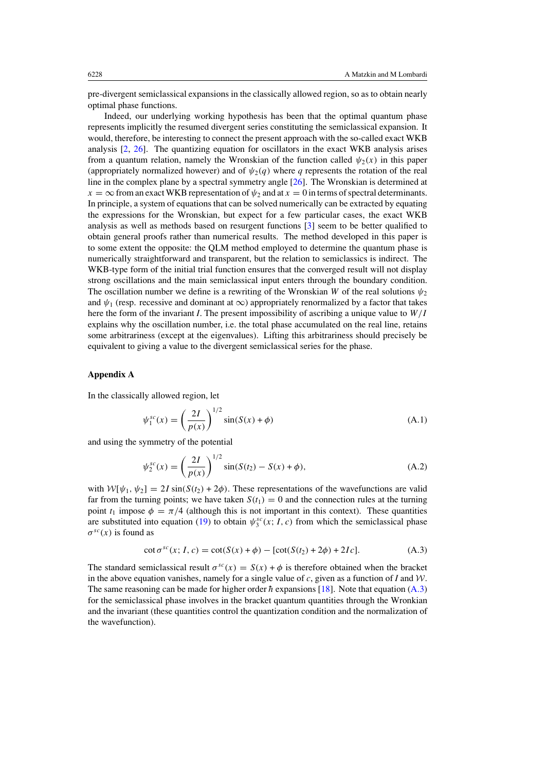<span id="page-17-0"></span>pre-divergent semiclassical expansions in the classically allowed region, so as to obtain nearly optimal phase functions.

Indeed, our underlying working hypothesis has been that the optimal quantum phase represents implicitly the resumed divergent series constituting the semiclassical expansion. It would, therefore, be interesting to connect the present approach with the so-called exact WKB analysis [\[2,](#page-19-0) [26](#page-19-0)]. The quantizing equation for oscillators in the exact WKB analysis arises from a quantum relation, namely the Wronskian of the function called  $\psi_2(x)$  in this paper (appropriately normalized however) and of  $\psi_2(q)$  where *q* represents the rotation of the real line in the complex plane by a spectral symmetry angle [\[26\]](#page-19-0). The Wronskian is determined at  $x = \infty$  from an exact WKB representation of  $\psi_2$  and at  $x = 0$  in terms of spectral determinants. In principle, a system of equations that can be solved numerically can be extracted by equating the expressions for the Wronskian, but expect for a few particular cases, the exact WKB analysis as well as methods based on resurgent functions [\[3](#page-19-0)] seem to be better qualified to obtain general proofs rather than numerical results. The method developed in this paper is to some extent the opposite: the QLM method employed to determine the quantum phase is numerically straightforward and transparent, but the relation to semiclassics is indirect. The WKB-type form of the initial trial function ensures that the converged result will not display strong oscillations and the main semiclassical input enters through the boundary condition. The oscillation number we define is a rewriting of the Wronskian *W* of the real solutions  $\psi_2$ and  $\psi_1$  (resp. recessive and dominant at  $\infty$ ) appropriately renormalized by a factor that takes here the form of the invariant *I*. The present impossibility of ascribing a unique value to *W/I* explains why the oscillation number, i.e. the total phase accumulated on the real line, retains some arbitrariness (except at the eigenvalues). Lifting this arbitrariness should precisely be equivalent to giving a value to the divergent semiclassical series for the phase.

## **Appendix A**

In the classically allowed region, let

$$
\psi_1^{sc}(x) = \left(\frac{2I}{p(x)}\right)^{1/2} \sin(S(x) + \phi) \tag{A.1}
$$

and using the symmetry of the potential

$$
\psi_2^{sc}(x) = \left(\frac{2I}{p(x)}\right)^{1/2} \sin(S(t_2) - S(x) + \phi),\tag{A.2}
$$

with  $W[\psi_1, \psi_2] = 2I \sin(S(t_2) + 2\phi)$ . These representations of the wavefunctions are valid far from the turning points; we have taken  $S(t_1) = 0$  and the connection rules at the turning point  $t_1$  impose  $\phi = \pi/4$  (although this is not important in this context). These quantities are substituted into equation [\(19\)](#page-5-0) to obtain  $\psi_3^{sc}(x; I, c)$  from which the semiclassical phase  $\sigma^{sc}(x)$  is found as

$$
\cot \sigma^{sc}(x; I, c) = \cot(S(x) + \phi) - [\cot(S(t_2) + 2\phi) + 2Ic].
$$
 (A.3)

The standard semiclassical result  $\sigma^{sc}(x) = S(x) + \phi$  is therefore obtained when the bracket in the above equation vanishes, namely for a single value of *c*, given as a function of *I* and  $W$ . The same reasoning can be made for higher order  $\hbar$  expansions [\[18](#page-19-0)]. Note that equation (A.3) for the semiclassical phase involves in the bracket quantum quantities through the Wronkian and the invariant (these quantities control the quantization condition and the normalization of the wavefunction).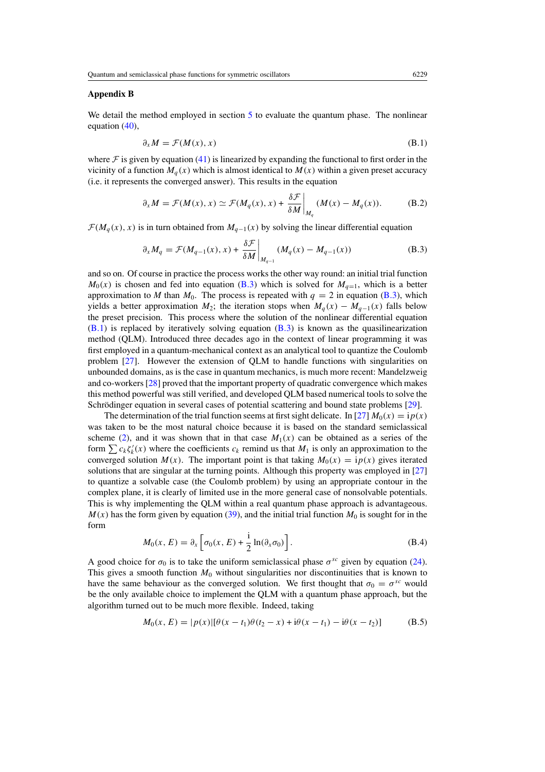# <span id="page-18-0"></span>**Appendix B**

We detail the method employed in section [5](#page-8-0) to evaluate the quantum phase. The nonlinear equation [\(40\)](#page-9-0),

$$
\partial_x M = \mathcal{F}(M(x), x) \tag{B.1}
$$

where  $\mathcal F$  is given by equation [\(41\)](#page-9-0) is linearized by expanding the functional to first order in the vicinity of a function  $M_q(x)$  which is almost identical to  $M(x)$  within a given preset accuracy (i.e. it represents the converged answer). This results in the equation

$$
\partial_x M = \mathcal{F}(M(x), x) \simeq \mathcal{F}(M_q(x), x) + \frac{\delta \mathcal{F}}{\delta M}\bigg|_{M_q} (M(x) - M_q(x)). \tag{B.2}
$$

 $\mathcal{F}(M_q(x), x)$  is in turn obtained from  $M_{q-1}(x)$  by solving the linear differential equation

$$
\partial_x M_q = \mathcal{F}(M_{q-1}(x), x) + \frac{\delta \mathcal{F}}{\delta M}\bigg|_{M_{q-1}} (M_q(x) - M_{q-1}(x)) \tag{B.3}
$$

and so on. Of course in practice the process works the other way round: an initial trial function  $M_0(x)$  is chosen and fed into equation (B.3) which is solved for  $M_{q=1}$ , which is a better approximation to *M* than  $M_0$ . The process is repeated with  $q = 2$  in equation (B.3), which yields a better approximation  $M_2$ ; the iteration stops when  $M_q(x) - M_{q-1}(x)$  falls below the preset precision. This process where the solution of the nonlinear differential equation (B*.*1) is replaced by iteratively solving equation (B*.*3) is known as the quasilinearization method (QLM). Introduced three decades ago in the context of linear programming it was first employed in a quantum-mechanical context as an analytical tool to quantize the Coulomb problem [\[27\]](#page-19-0). However the extension of QLM to handle functions with singularities on unbounded domains, as is the case in quantum mechanics, is much more recent: Mandelzweig and co-workers [\[28](#page-19-0)] proved that the important property of quadratic convergence which makes this method powerful was still verified, and developed QLM based numerical tools to solve the Schrödinger equation in several cases of potential scattering and bound state problems [[29](#page-19-0)].

The determination of the trial function seems at first sight delicate. In [\[27\]](#page-19-0)  $M_0(x) = i p(x)$ was taken to be the most natural choice because it is based on the standard semiclassical scheme [\(2\)](#page-2-0), and it was shown that in that case  $M_1(x)$  can be obtained as a series of the form  $\sum c_k \zeta'_k(x)$  where the coefficients  $c_k$  remind us that  $M_1$  is only an approximation to the converged solution  $M(x)$ . The important point is that taking  $M_0(x) = i p(x)$  gives iterated solutions that are singular at the turning points. Although this property was employed in [\[27](#page-19-0)] to quantize a solvable case (the Coulomb problem) by using an appropriate contour in the complex plane, it is clearly of limited use in the more general case of nonsolvable potentials. This is why implementing the QLM within a real quantum phase approach is advantageous.  $M(x)$  has the form given by equation [\(39\)](#page-8-0), and the initial trial function  $M_0$  is sought for in the form

$$
M_0(x, E) = \partial_x \left[ \sigma_0(x, E) + \frac{i}{2} \ln(\partial_x \sigma_0) \right].
$$
 (B.4)

A good choice for  $\sigma_0$  is to take the uniform semiclassical phase  $\sigma^{sc}$  given by equation [\(24\)](#page-5-0). This gives a smooth function  $M_0$  without singularities nor discontinuities that is known to have the same behaviour as the converged solution. We first thought that  $\sigma_0 = \sigma^{sc}$  would be the only available choice to implement the QLM with a quantum phase approach, but the algorithm turned out to be much more flexible. Indeed, taking

$$
M_0(x, E) = |p(x)|[\theta(x - t_1)\theta(t_2 - x) + i\theta(x - t_1) - i\theta(x - t_2)]
$$
 (B.5)